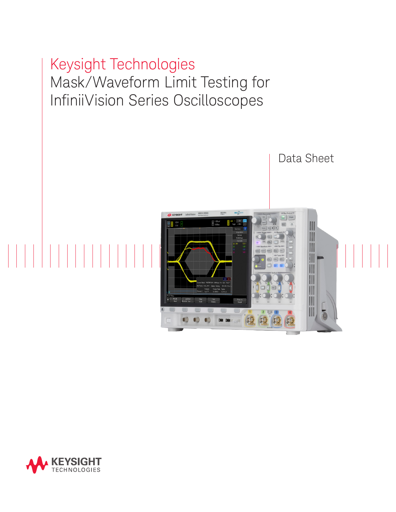# Keysight Technologies Mask/Waveform Limit Testing for InfiniiVision Series Oscilloscopes Data Sheet

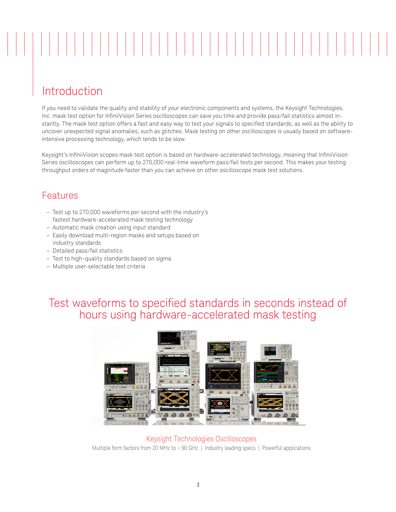# 

# Introduction

If you need to validate the quality and stability of your electronic components and systems, the Keysight Technologies, Inc. mask test option for InfiniiVision Series oscilloscopes can save you time and provide pass/fail statistics almost instantly. The mask test option offers a fast and easy way to test your signals to specified standards, as well as the ability to uncover unexpected signal anomalies, such as glitches. Mask testing on other oscilloscopes is usually based on softwareintensive processing technology, which tends to be slow.

Keysight's InfiniiVision scopes mask test option is based on hardware-accelerated technology, meaning that InfiniiVision Series oscilloscopes can perform up to 270,000 real-time waveform pass/fail tests per second. This makes your testing throughput orders of magnitude faster than you can achieve on other oscilloscope mask test solutions.

## Features

- Test up to 270,000 waveforms per second with the industry's fastest hardware-accelerated mask testing technology
- Automatic mask creation using input standard
- Easily download multi-region masks and setups based on industry standards
- Detailed pass/fail statistics
- Test to high-quality standards based on sigma
- Multiple user-selectable test criteria

# Test waveforms to specified standards in seconds instead of hours using hardware-accelerated mask testing



Keysight Technologies Oscilloscopes Multiple form factors from 20 MHz to > 90 GHz | Industry leading specs | Powerful applications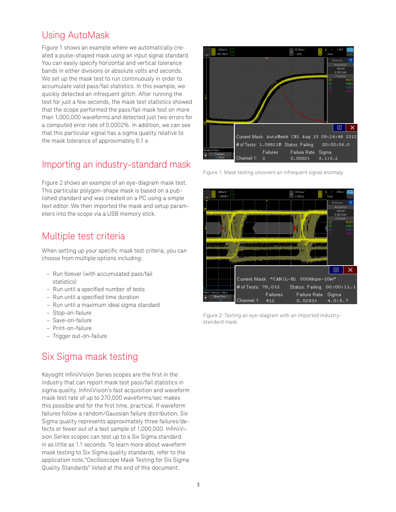# Using AutoMask

Figure 1 shows an example where we automatically created a pulse-shaped mask using an input signal standard. You can easily specify horizontal and vertical tolerance bands in either divisions or absolute volts and seconds. We set up the mask test to run continuously in order to accumulate valid pass/fail statistics. In this example, we quickly detected an infrequent glitch. After running the test for just a few seconds, the mask test statistics showed that the scope performed the pass/fail mask test on more than 1,000,000 waveforms and detected just two errors for a computed error rate of 0.0002%. In addition, we can see that this particular signal has a sigma quality relative to the mask tolerance of approximately 6.1 σ.

# Importing an industry-standard mask

Figure 2 shows an example of an eye-diagram mask test. This particular polygon-shape mask is based on a published standard and was created on a PC using a simple text editor. We then imported the mask and setup parameters into the scope via a USB memory stick.

## Multiple test criteria

When setting up your specific mask test criteria, you can choose from multiple options including:

- Run forever (with accumulated pass/fail statistics)
- Run until a specified number of tests
- Run until a specified time duration
- Run until a maximum ideal sigma standard
- Stop-on-failure
- Save-on-failure
- Print-on-failure
- Trigger out-on-failure

# Six Sigma mask testing

Keysight InfiniiVision Series scopes are the first in the industry that can report mask test pass/fail statistics in sigma quality. InfiniiVision's fast acquisition and waveform mask test rate of up to 270,000 waveforms/sec makes this possible and for the first time, practical. If waveform failures follow a random/Gaussian failure distribution, Six Sigma quality represents approximately three failures/defects or fewer out of a test sample of 1,000,000. InfiniiVision Series scopes can test up to a Six Sigma standard in as little as 1.1 seconds. To learn more about waveform mask testing to Six Sigma quality standards, refer to the application note,"Oscilloscope Mask Testing for Six Sigma Quality Standards" listed at the end of this document.



Figure 1: Mask testing uncovers an infrequent signal anomaly.



Figure 2: Testing an eye-diagram with an imported industrystandard mask.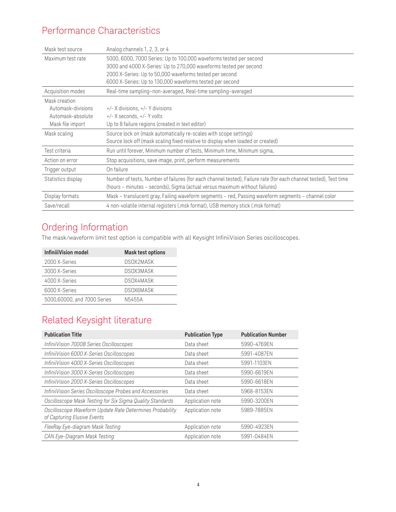# Performance Characteristics

| Mask test source   | Analog channels 1, 2, 3, or 4                                                                                    |
|--------------------|------------------------------------------------------------------------------------------------------------------|
| Maximum test rate  | 5000, 6000, 7000 Series: Up to 100,000 waveforms tested per second                                               |
|                    | 3000 and 4000 X-Series: Up to 270,000 waveforms tested per second                                                |
|                    | 2000 X-Series: Up to 50,000 waveforms tested per second                                                          |
|                    | 6000 X-Series: Up to 130,000 waveforms tested per second                                                         |
| Acquisition modes  | Real-time sampling-non-averaged, Real-time sampling-averaged                                                     |
| Mask creation      |                                                                                                                  |
| Automask-divisions | +/- X divisions, +/- Y divisions                                                                                 |
| Automask-absolute  | $+/- X$ seconds, $+/- Y$ volts                                                                                   |
| Mask file import   | Up to 8 failure regions (created in text editor)                                                                 |
| Mask scaling       | Source lock on (mask automatically re-scales with scope settings)                                                |
|                    | Source lock off (mask scaling fixed relative to display when loaded or created)                                  |
| Test criteria      | Run until forever, Minimum number of tests, Minimum time, Minimum sigma,                                         |
| Action on error    | Stop acquisitions, save image, print, perform measurements                                                       |
| Trigger output     | On failure                                                                                                       |
| Statistics display | Number of tests, Number of failures (for each channel tested), Failure rate (for each channel tested), Test time |
|                    | (hours - minutes - seconds), Sigma (actual versus maximum without failures)                                      |
| Display formats    | Mask - translucent gray, Failing waveform segments - red, Passing waveform segments - channel color              |
| Save/recall        | 4 non-volatile internal registers (.msk format), USB memory stick (.msk format)                                  |

# Ordering Information

The mask/waveform limit test option is compatible with all Keysight InfiniiVision Series oscilloscopes.

| <b>InfiniiiVision model</b> | <b>Mask test options</b> |
|-----------------------------|--------------------------|
| 2000 X-Series               | DSOX2MASK                |
| 3000 X-Series               | <b>DSOX3MASK</b>         |
| 4000 X-Series               | DSOX4MASK                |
| 6000 X-Series               | DSOX6MASK                |
| 5000,60000, and 7000 Series | N5455A                   |
|                             |                          |

# Related Keysight literature

| <b>Publication Title</b>                                                                | <b>Publication Type</b> | <b>Publication Number</b> |
|-----------------------------------------------------------------------------------------|-------------------------|---------------------------|
| InfiniiVision 7000B Series Oscilloscopes                                                | Data sheet              | 5990-4769EN               |
| InfiniiVision 6000 X-Series Oscilloscopes                                               | Data sheet              | 5991-4087EN               |
| InfiniiVision 4000 X-Series Oscilloscopes                                               | Data sheet              | 5991-1103EN               |
| InfiniiVision 3000 X-Series Oscilloscopes                                               | Data sheet              | 5990-6619EN               |
| InfiniiVision 2000 X-Series Oscilloscopes                                               | Data sheet              | 5990-6618EN               |
| InfiniiVision Series Oscilloscope Probes and Accessories                                | Data sheet              | 5968-8153EN               |
| Oscilloscope Mask Testing for Six Sigma Quality Standards                               | Application note        | 5990-3200EN               |
| Oscilloscope Waveform Update Rate Determines Probability<br>of Capturing Elusive Events | Application note        | 5989-7885EN               |
| FlexRay Eye-diagram Mask Testing                                                        | Application note        | 5990-4923EN               |
| CAN Eye-Diagram Mask Testing                                                            | Application note        | 5991-0484EN               |